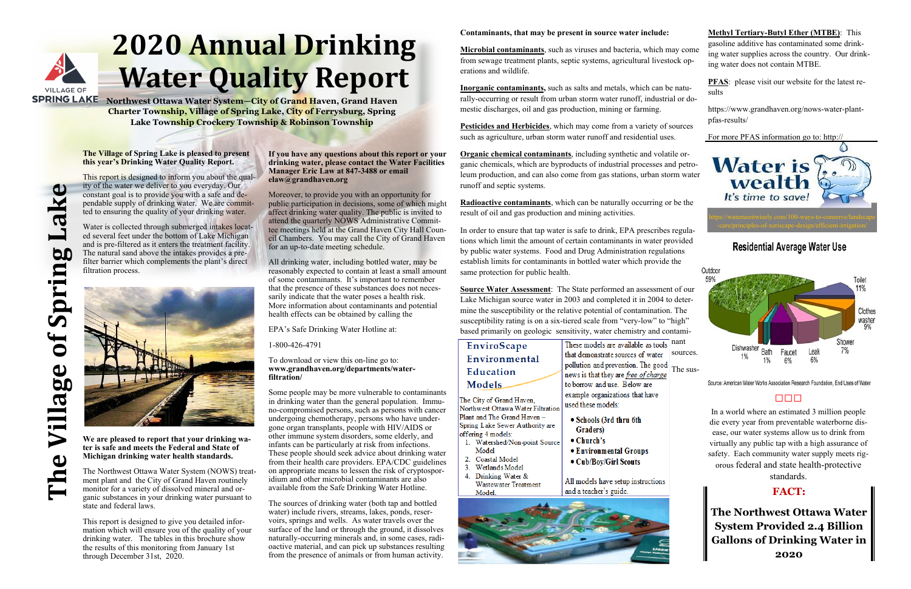

# **2020 Annual Drinking Water Quality Report**

**The Village of Spring Lake** Q pring  $\overline{\mathbf{0}}$ llage

**SPRING LAKE** Northwest Ottawa Water System-City of Grand Haven, Grand Haven **Charter Township, Village of Spring Lake, City of Ferrysburg, Spring Lake Township Crockery Township & Robinson Township**

## **The Village of Spring Lake is pleased to present this year's Drinking Water Quality Report.**

This report is designed to inform you about the quality of the water we deliver to you everyday. Our constant goal is to provide you with a safe and dependable supply of drinking water. We are committed to ensuring the quality of your drinking water.

Water is collected through submerged intakes located several feet under the bottom of Lake Michigan and is pre-filtered as it enters the treatment facility. The natural sand above the intakes provides a prefilter barrier which complements the plant's direct filtration process.



**We are pleased to report that your drinking water is safe and meets the Federal and State of Michigan drinking water health standards.** 

The Northwest Ottawa Water System (NOWS) treatment plant and the City of Grand Haven routinely monitor for a variety of dissolved mineral and organic substances in your drinking water pursuant to state and federal laws.

This report is designed to give you detailed information which will ensure you of the quality of your drinking water. The tables in this brochure show the results of this monitoring from January 1st through December 31st, 2020.

## **If you have any questions about this report or your drinking water, please contact the Water Facilities Manager Eric Law at 847-3488 or email elaw@grandhaven.org**

Moreover, to provide you with an opportunity for public participation in decisions, some of which might affect drinking water quality. The public is invited to attend the quarterly NOWS Administrative Committee meetings held at the Grand Haven City Hall Council Chambers. You may call the City of Grand Haven for an up-to-date meeting schedule.

All drinking water, including bottled water, may be reasonably expected to contain at least a small amount of some contaminants. It's important to remember that the presence of these substances does not necessarily indicate that the water poses a health risk. More information about contaminants and potential health effects can be obtained by calling the

## EPA's Safe Drinking Water Hotline at:

1-800-426-4791

## To download or view this on-line go to: **www.grandhaven.org/departments/waterfiltration/**

These models are available as tools nant sources.

## **Methyl Tertiary-Butyl Ether (MTBE)**: This gasoline additive has contaminated some drinking water supplies across the country. Our drinking water does not contain MTBE. **PFAS**: please visit our website for the latest results https://www.grandhaven.org/nows-water-plantpfas-results/ For more PFAS information go to: http:// **Water is** wealth It's time to save! https://wateruseitwisely.com/100-ways-to-conserve/landscape **Residential Average Water Use** Outdoor 59% Toilet Clothes washer

Some people may be more vulnerable to contaminants in drinking water than the general population. Immuno-compromised persons, such as persons with cancer undergoing chemotherapy, persons who have undergone organ transplants, people with HIV/AIDS or other immune system disorders, some elderly, and infants can be particularly at risk from infections. These people should seek advice about drinking water from their health care providers. EPA/CDC guidelines on appropriate means to lessen the risk of cryptosporidium and other microbial contaminants are also available from the Safe Drinking Water Hotline.

The sources of drinking water (both tap and bottled water) include rivers, streams, lakes, ponds, reservoirs, springs and wells. As water travels over the surface of the land or through the ground, it dissolves naturally-occurring minerals and, in some cases, radioactive material, and can pick up substances resulting from the presence of animals or from human activity.

## **Contaminants, that may be present in source water include:**

**Microbial contaminants**, such as viruses and bacteria, which may come from sewage treatment plants, septic systems, agricultural livestock operations and wildlife.

**Inorganic contaminants,** such as salts and metals, which can be naturally-occurring or result from urban storm water runoff, industrial or domestic discharges, oil and gas production, mining or farming.

**Pesticides and Herbicides**, which may come from a variety of sources such as agriculture, urban storm water runoff and residential uses.

**Organic chemical contaminants**, including synthetic and volatile organic chemicals, which are byproducts of industrial processes and petroleum production, and can also come from gas stations, urban storm water runoff and septic systems.

**Radioactive contaminants**, which can be naturally occurring or be the result of oil and gas production and mining activities.

In order to ensure that tap water is safe to drink, EPA prescribes regulations which limit the amount of certain contaminants in water provided by public water systems. Food and Drug Administration regulations establish limits for contaminants in bottled water which provide the same protection for public health.

**Source Water Assessment**: The State performed an assessment of our Lake Michigan source water in 2003 and completed it in 2004 to determine the susceptibility or the relative potential of contamination. The susceptibility rating is on a six-tiered scale from "very-low" to "high" based primarily on geologic sensitivity, water chemistry and contami-

that demonstrate sources of water

pollution and prevention. The good

news is that they are free of charge

to borrow and use. Below are

• Schools (3rd thru 6th

• Environmental Groups

All models have setup instructions

• Cub/Boy/Girl Scouts

and a teacher's guide.

used these models:

Graders)

 $\bullet$  Church's

example organizations that have

## EnviroScape Environmental Education **Models**

The City of Grand Haven, Northwest Ottawa Water Filtration Plant and The Grand Haven -Spring Lake Sewer Authority are offering 4 models:

- 1. Watershed/Non-point Source Model
- 2. Coastal Model
- 3. Wetlands Model
- 4. Drinking Water & Wastewater Treatment
- Model.



The sus-

Source: American Water Works Association Research Foundation, End Uses of Water

Faucet

6%

Leak

6%

Dishwasher

1%

## **FACT:**

Bath

1%

Shower

7%

## $n$

**The Northwest Ottawa Water System Provided 2.4 Billion Gallons of Drinking Water in 2020**

In a world where an estimated 3 million people die every year from preventable waterborne disease, our water systems allow us to drink from virtually any public tap with a high assurance of safety. Each community water supply meets rigorous federal and state health-protective

standards.